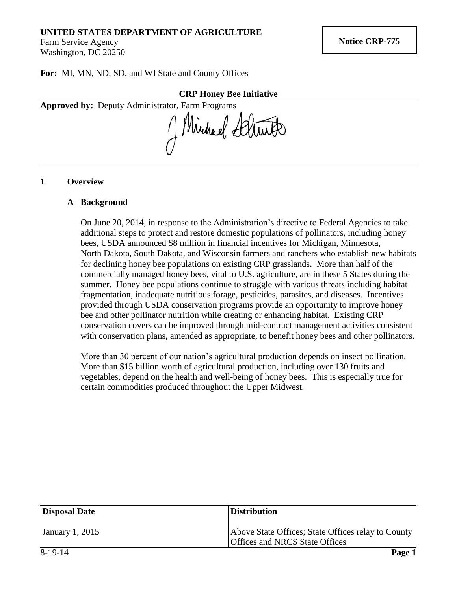# **UNITED STATES DEPARTMENT OF AGRICULTURE**

Farm Service Agency Washington, DC 20250

**For:** MI, MN, ND, SD, and WI State and County Offices

#### **CRP Honey Bee Initiative**

**Approved by:** Deputy Administrator, Farm Programs

Michael Schutz

## **1 Overview**

#### **A Background**

On June 20, 2014, in response to the Administration's directive to Federal Agencies to take additional steps to protect and restore domestic populations of pollinators, including honey bees, USDA announced \$8 million in financial incentives for Michigan, Minnesota, North Dakota, South Dakota, and Wisconsin farmers and ranchers who establish new habitats for declining honey bee populations on existing CRP grasslands. More than half of the commercially managed honey bees, vital to U.S. agriculture, are in these 5 States during the summer. Honey bee populations continue to struggle with various threats including habitat fragmentation, inadequate nutritious forage, pesticides, parasites, and diseases. Incentives provided through USDA conservation programs provide an opportunity to improve honey bee and other pollinator nutrition while creating or enhancing habitat. Existing CRP conservation covers can be improved through mid-contract management activities consistent with conservation plans, amended as appropriate, to benefit honey bees and other pollinators.

More than 30 percent of our nation's agricultural production depends on insect pollination. More than \$15 billion worth of agricultural production, including over 130 fruits and vegetables, depend on the health and well-being of honey bees. This is especially true for certain commodities produced throughout the Upper Midwest.

| <b>Disposal Date</b> | <b>Distribution</b>                                                                  |
|----------------------|--------------------------------------------------------------------------------------|
| January 1, 2015      | Above State Offices; State Offices relay to County<br>Offices and NRCS State Offices |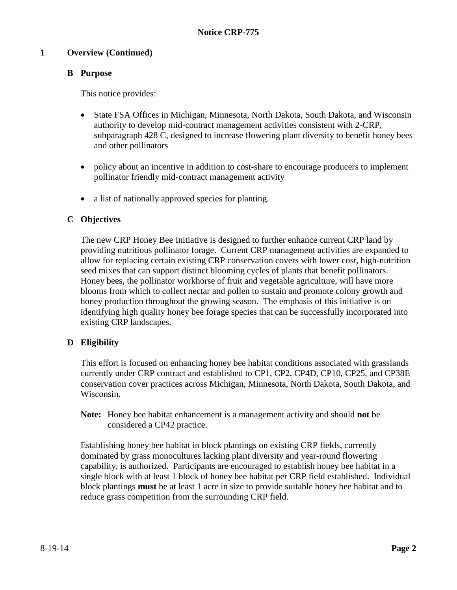## **1 Overview (Continued)**

# **B Purpose**

This notice provides:

- State FSA Offices in Michigan, Minnesota, North Dakota, South Dakota, and Wisconsin authority to develop mid-contract management activities consistent with 2-CRP, subparagraph 428 C, designed to increase flowering plant diversity to benefit honey bees and other pollinators
- policy about an incentive in addition to cost-share to encourage producers to implement pollinator friendly mid-contract management activity
- a list of nationally approved species for planting.

## **C Objectives**

The new CRP Honey Bee Initiative is designed to further enhance current CRP land by providing nutritious pollinator forage. Current CRP management activities are expanded to allow for replacing certain existing CRP conservation covers with lower cost, high-nutrition seed mixes that can support distinct blooming cycles of plants that benefit pollinators. Honey bees, the pollinator workhorse of fruit and vegetable agriculture, will have more blooms from which to collect nectar and pollen to sustain and promote colony growth and honey production throughout the growing season. The emphasis of this initiative is on identifying high quality honey bee forage species that can be successfully incorporated into existing CRP landscapes.

# **D Eligibility**

This effort is focused on enhancing honey bee habitat conditions associated with grasslands currently under CRP contract and established to CP1, CP2, CP4D, CP10, CP25, and CP38E conservation cover practices across Michigan, Minnesota, North Dakota, South Dakota, and Wisconsin.

**Note:** Honey bee habitat enhancement is a management activity and should **not** be considered a CP42 practice.

Establishing honey bee habitat in block plantings on existing CRP fields, currently dominated by grass monocultures lacking plant diversity and year-round flowering capability, is authorized. Participants are encouraged to establish honey bee habitat in a single block with at least 1 block of honey bee habitat per CRP field established. Individual block plantings **must** be at least 1 acre in size to provide suitable honey bee habitat and to reduce grass competition from the surrounding CRP field.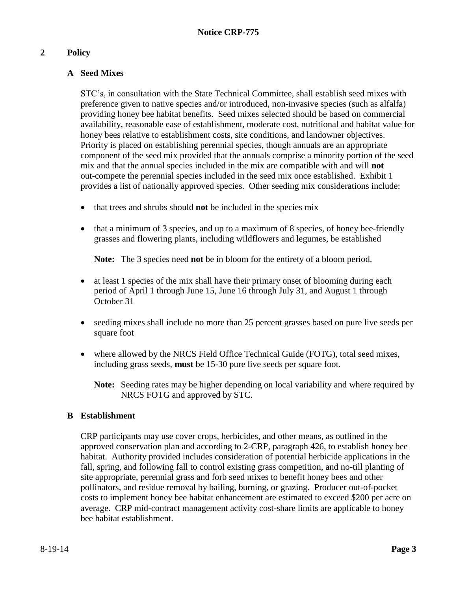# **2 Policy**

# **A Seed Mixes**

STC's, in consultation with the State Technical Committee, shall establish seed mixes with preference given to native species and/or introduced, non-invasive species (such as alfalfa) providing honey bee habitat benefits. Seed mixes selected should be based on commercial availability, reasonable ease of establishment, moderate cost, nutritional and habitat value for honey bees relative to establishment costs, site conditions, and landowner objectives. Priority is placed on establishing perennial species, though annuals are an appropriate component of the seed mix provided that the annuals comprise a minority portion of the seed mix and that the annual species included in the mix are compatible with and will **not** out-compete the perennial species included in the seed mix once established. Exhibit 1 provides a list of nationally approved species. Other seeding mix considerations include:

- that trees and shrubs should **not** be included in the species mix
- that a minimum of 3 species, and up to a maximum of 8 species, of honey bee-friendly grasses and flowering plants, including wildflowers and legumes, be established

**Note:** The 3 species need **not** be in bloom for the entirety of a bloom period.

- at least 1 species of the mix shall have their primary onset of blooming during each period of April 1 through June 15, June 16 through July 31, and August 1 through October 31
- seeding mixes shall include no more than 25 percent grasses based on pure live seeds per square foot
- where allowed by the NRCS Field Office Technical Guide (FOTG), total seed mixes, including grass seeds, **must** be 15-30 pure live seeds per square foot.

**Note:** Seeding rates may be higher depending on local variability and where required by NRCS FOTG and approved by STC.

# **B Establishment**

CRP participants may use cover crops, herbicides, and other means, as outlined in the approved conservation plan and according to 2-CRP, paragraph 426, to establish honey bee habitat. Authority provided includes consideration of potential herbicide applications in the fall, spring, and following fall to control existing grass competition, and no-till planting of site appropriate, perennial grass and forb seed mixes to benefit honey bees and other pollinators, and residue removal by bailing, burning, or grazing. Producer out-of-pocket costs to implement honey bee habitat enhancement are estimated to exceed \$200 per acre on average. CRP mid-contract management activity cost-share limits are applicable to honey bee habitat establishment.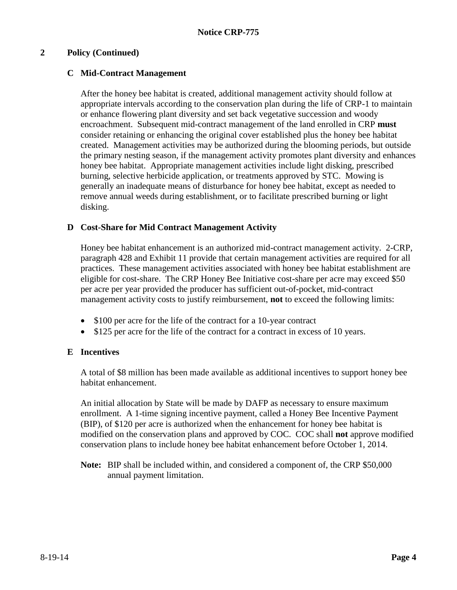## **2 Policy (Continued)**

## **C Mid-Contract Management**

After the honey bee habitat is created, additional management activity should follow at appropriate intervals according to the conservation plan during the life of CRP-1 to maintain or enhance flowering plant diversity and set back vegetative succession and woody encroachment. Subsequent mid-contract management of the land enrolled in CRP **must** consider retaining or enhancing the original cover established plus the honey bee habitat created. Management activities may be authorized during the blooming periods, but outside the primary nesting season, if the management activity promotes plant diversity and enhances honey bee habitat. Appropriate management activities include light disking, prescribed burning, selective herbicide application, or treatments approved by STC. Mowing is generally an inadequate means of disturbance for honey bee habitat, except as needed to remove annual weeds during establishment, or to facilitate prescribed burning or light disking.

## **D Cost-Share for Mid Contract Management Activity**

Honey bee habitat enhancement is an authorized mid-contract management activity. 2-CRP, paragraph 428 and Exhibit 11 provide that certain management activities are required for all practices. These management activities associated with honey bee habitat establishment are eligible for cost-share. The CRP Honey Bee Initiative cost-share per acre may exceed \$50 per acre per year provided the producer has sufficient out-of-pocket, mid-contract management activity costs to justify reimbursement, **not** to exceed the following limits:

- \$100 per acre for the life of the contract for a 10-year contract
- \$125 per acre for the life of the contract for a contract in excess of 10 years.

#### **E Incentives**

A total of \$8 million has been made available as additional incentives to support honey bee habitat enhancement.

An initial allocation by State will be made by DAFP as necessary to ensure maximum enrollment. A 1-time signing incentive payment, called a Honey Bee Incentive Payment (BIP), of \$120 per acre is authorized when the enhancement for honey bee habitat is modified on the conservation plans and approved by COC. COC shall **not** approve modified conservation plans to include honey bee habitat enhancement before October 1, 2014.

**Note:** BIP shall be included within, and considered a component of, the CRP \$50,000 annual payment limitation.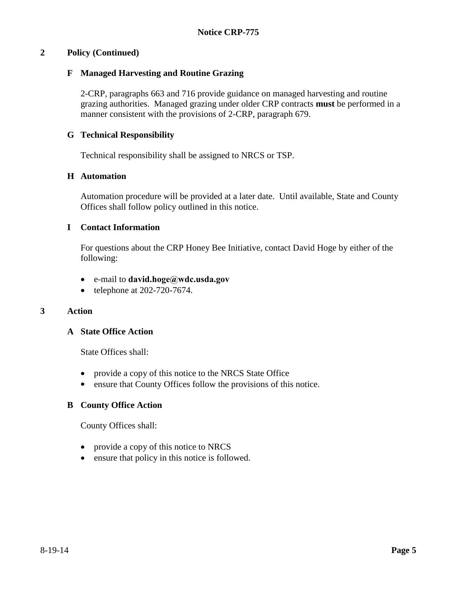#### **2 Policy (Continued)**

#### **F Managed Harvesting and Routine Grazing**

2-CRP, paragraphs 663 and 716 provide guidance on managed harvesting and routine grazing authorities. Managed grazing under older CRP contracts **must** be performed in a manner consistent with the provisions of 2-CRP, paragraph 679.

## **G Technical Responsibility**

Technical responsibility shall be assigned to NRCS or TSP.

#### **H Automation**

Automation procedure will be provided at a later date. Until available, State and County Offices shall follow policy outlined in this notice.

## **I Contact Information**

For questions about the CRP Honey Bee Initiative, contact David Hoge by either of the following:

- e-mail to **[david.hoge@wdc.usda.gov](mailto:david.hoge@wdc.usda.gov)**
- $\bullet$  telephone at 202-720-7674.

#### **3 Action**

#### **A State Office Action**

State Offices shall:

- provide a copy of this notice to the NRCS State Office
- ensure that County Offices follow the provisions of this notice.

#### **B County Office Action**

County Offices shall:

- provide a copy of this notice to NRCS
- ensure that policy in this notice is followed.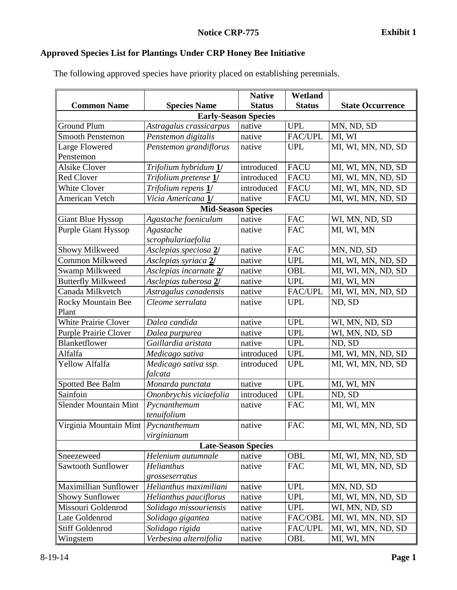# **Approved Species List for Plantings Under CRP Honey Bee Initiative**

The following approved species have priority placed on establishing perennials.

|                                     |                           | <b>Native</b> | Wetland        |                         |  |  |
|-------------------------------------|---------------------------|---------------|----------------|-------------------------|--|--|
| <b>Common Name</b>                  | <b>Species Name</b>       | <b>Status</b> | <b>Status</b>  | <b>State Occurrence</b> |  |  |
| <b>Early-Season Species</b>         |                           |               |                |                         |  |  |
| <b>Ground Plum</b>                  | Astragalus crassicarpus   | native        | <b>UPL</b>     | MN, ND, SD              |  |  |
| <b>Smooth Penstemon</b>             | Penstemon digitalis       | native        | FAC/UPL        | MI, WI                  |  |  |
| Large Flowered                      | Penstemon grandiflorus    | native        | <b>UPL</b>     | MI, WI, MN, ND, SD      |  |  |
| Penstemon                           |                           |               |                |                         |  |  |
| <b>Alsike Clover</b>                | Trifolium hybridum 1/     | introduced    | <b>FACU</b>    | MI, WI, MN, ND, SD      |  |  |
| <b>Red Clover</b>                   | Trifolium pretense 1/     | introduced    | <b>FACU</b>    | MI, WI, MN, ND, SD      |  |  |
| <b>White Clover</b>                 | Trifolium repens 1/       | introduced    | <b>FACU</b>    | MI, WI, MN, ND, SD      |  |  |
| American Vetch                      | Vicia Americana 1/        | native        | <b>FACU</b>    | MI, WI, MN, ND, SD      |  |  |
|                                     | <b>Mid-Season Species</b> |               |                |                         |  |  |
| Giant Blue Hyssop                   | Agastache foeniculum      | native        | <b>FAC</b>     | WI, MN, ND, SD          |  |  |
| <b>Purple Giant Hyssop</b>          | Agastache                 | native        | <b>FAC</b>     | MI, WI, MN              |  |  |
|                                     | scrophulariaefolia        |               |                |                         |  |  |
| Showy Milkweed                      | Asclepias speciosa 2/     | native        | <b>FAC</b>     | MN, ND, SD              |  |  |
| Common Milkweed                     | Asclepias syriaca 2/      | native        | <b>UPL</b>     | MI, WI, MN, ND, SD      |  |  |
| Swamp Milkweed                      | Asclepias incarnate 2/    | native        | OBL            | MI, WI, MN, ND, SD      |  |  |
| <b>Butterfly Milkweed</b>           | Asclepias tuberosa 2/     | native        | <b>UPL</b>     | MI, WI, MN              |  |  |
| Canada Milkvetch                    | Astragalus canadensis     | native        | FAC/UPL        | MI, WI, MN, ND, SD      |  |  |
| <b>Rocky Mountain Bee</b>           | Cleome serrulata          | native        | <b>UPL</b>     | ND, SD                  |  |  |
| Plant                               |                           |               |                |                         |  |  |
| White Prairie Clover                | Dalea candida             | native        | <b>UPL</b>     | WI, MN, ND, SD          |  |  |
| <b>Purple Prairie Clover</b>        | Dalea purpurea            | native        | <b>UPL</b>     | WI, MN, ND, SD          |  |  |
| Blanketflower                       | Gaillardia aristata       | native        | <b>UPL</b>     | ND, SD                  |  |  |
| Alfalfa                             | Medicago sativa           | introduced    | <b>UPL</b>     | MI, WI, MN, ND, SD      |  |  |
| Yellow Alfalfa                      | Medicago sativa ssp.      | introduced    | <b>UPL</b>     | MI, WI, MN, ND, SD      |  |  |
|                                     | falcata                   |               |                |                         |  |  |
| Spotted Bee Balm                    | Monarda punctata          | native        | <b>UPL</b>     | MI, WI, MN              |  |  |
| Sainfoin                            | Ononbrychis viciaefolia   | introduced    | <b>UPL</b>     | ND, SD                  |  |  |
| <b>Slender Mountain Mint</b>        | Pycnanthemum              | native        | <b>FAC</b>     | MI, WI, MN              |  |  |
|                                     | tenuifolium               |               |                |                         |  |  |
| Virginia Mountain Mint Pycnanthemum |                           | native        | <b>FAC</b>     | MI, WI, MN, ND, SD      |  |  |
|                                     | virginianum               |               |                |                         |  |  |
| <b>Late-Season Species</b>          |                           |               |                |                         |  |  |
| Sneezeweed                          | Helenium autumnale        | native        | OBL            | MI, WI, MN, ND, SD      |  |  |
| Sawtooth Sunflower                  | Helianthus                | native        | <b>FAC</b>     | MI, WI, MN, ND, SD      |  |  |
|                                     | grosseserratus            |               |                |                         |  |  |
| <b>Maximillian Sunflower</b>        | Helianthus maximiliani    | native        | <b>UPL</b>     | MN, ND, SD              |  |  |
| <b>Showy Sunflower</b>              | Helianthus pauciflorus    | native        | <b>UPL</b>     | MI, WI, MN, ND, SD      |  |  |
| Missouri Goldenrod                  | Solidago missouriensis    | native        | <b>UPL</b>     | WI, MN, ND, SD          |  |  |
| Late Goldenrod                      | Solidago gigantea         | native        | FAC/OBL        | MI, WI, MN, ND, SD      |  |  |
| <b>Stiff Goldenrod</b>              | Solidago rigida           | native        | <b>FAC/UPL</b> | MI, WI, MN, ND, SD      |  |  |
| Wingstem                            | Verbesina alternifolia    | native        | OBL            | MI, WI, MN              |  |  |